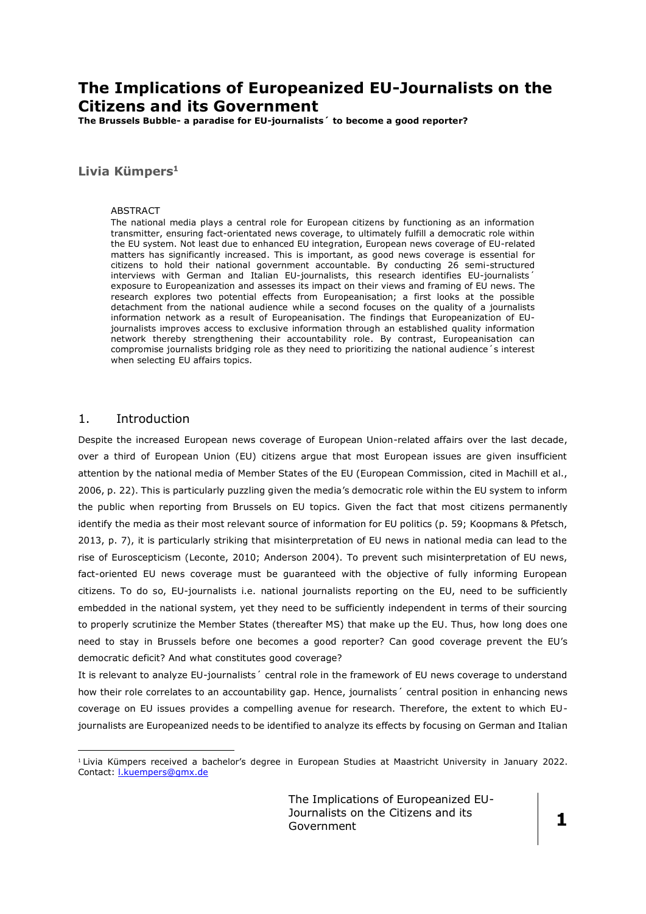# **The Implications of Europeanized EU-Journalists on the Citizens and its Government**

**The Brussels Bubble- a paradise for EU-journalists´ to become a good reporter?** 

## **Livia Kümpers<sup>1</sup>**

#### ABSTRACT

The national media plays a central role for European citizens by functioning as an information transmitter, ensuring fact-orientated news coverage, to ultimately fulfill a democratic role within the EU system. Not least due to enhanced EU integration, European news coverage of EU-related matters has significantly increased. This is important, as good news coverage is essential for citizens to hold their national government accountable. By conducting 26 semi-structured interviews with German and Italian EU-journalists, this research identifies EU-journalists<sup>'</sup> exposure to Europeanization and assesses its impact on their views and framing of EU news. The research explores two potential effects from Europeanisation; a first looks at the possible detachment from the national audience while a second focuses on the quality of a journalists information network as a result of Europeanisation. The findings that Europeanization of EUjournalists improves access to exclusive information through an established quality information network thereby strengthening their accountability role. By contrast, Europeanisation can compromise journalists bridging role as they need to prioritizing the national audience´s interest when selecting EU affairs topics.

## 1. Introduction

<u>.</u>

Despite the increased European news coverage of European Union-related affairs over the last decade, over a third of European Union (EU) citizens argue that most European issues are given insufficient attention by the national media of Member States of the EU (European Commission, cited in Machill et al., 2006, p. 22). This is particularly puzzling given the media's democratic role within the EU system to inform the public when reporting from Brussels on EU topics. Given the fact that most citizens permanently identify the media as their most relevant source of information for EU politics (p. 59; Koopmans & Pfetsch, 2013, p. 7), it is particularly striking that misinterpretation of EU news in national media can lead to the rise of Euroscepticism (Leconte, 2010; Anderson 2004). To prevent such misinterpretation of EU news, fact-oriented EU news coverage must be guaranteed with the objective of fully informing European citizens. To do so, EU-journalists i.e. national journalists reporting on the EU, need to be sufficiently embedded in the national system, yet they need to be sufficiently independent in terms of their sourcing to properly scrutinize the Member States (thereafter MS) that make up the EU. Thus, how long does one need to stay in Brussels before one becomes a good reporter? Can good coverage prevent the EU's democratic deficit? And what constitutes good coverage?

It is relevant to analyze EU-journalists' central role in the framework of EU news coverage to understand how their role correlates to an accountability gap. Hence, journalists' central position in enhancing news coverage on EU issues provides a compelling avenue for research. Therefore, the extent to which EUjournalists are Europeanized needs to be identified to analyze its effects by focusing on German and Italian

<sup>1</sup> Livia Kümpers received a bachelor's degree in European Studies at Maastricht University in January 2022. Contact: [l.kuempers@gmx.de](mailto:l.kuempers@gmx.de)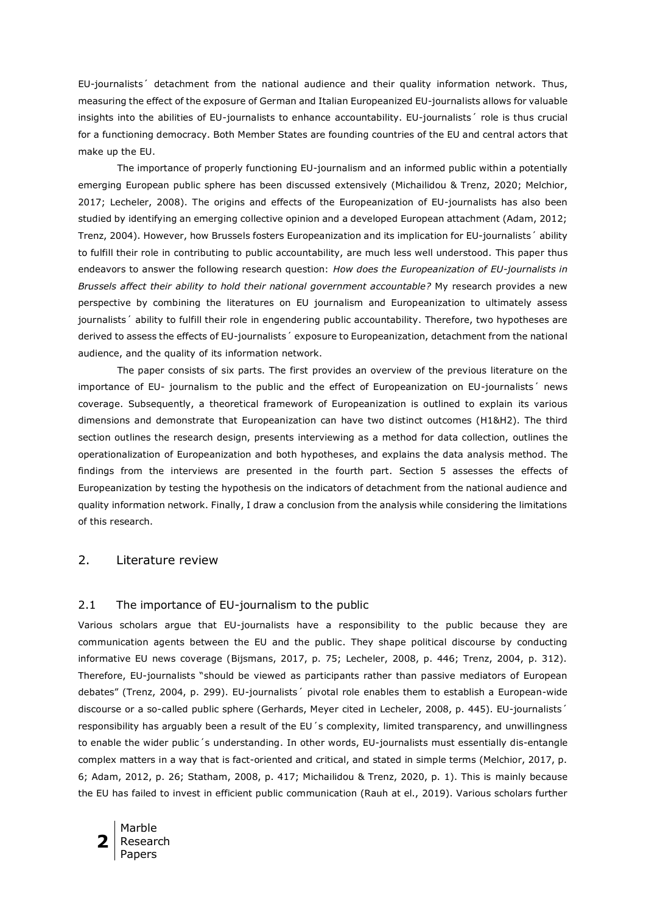EU-journalists´ detachment from the national audience and their quality information network. Thus, measuring the effect of the exposure of German and Italian Europeanized EU-journalists allows for valuable insights into the abilities of EU-journalists to enhance accountability. EU-journalists´ role is thus crucial for a functioning democracy. Both Member States are founding countries of the EU and central actors that make up the EU.

The importance of properly functioning EU-journalism and an informed public within a potentially emerging European public sphere has been discussed extensively (Michailidou & Trenz, 2020; Melchior, 2017; Lecheler, 2008). The origins and effects of the Europeanization of EU-journalists has also been studied by identifying an emerging collective opinion and a developed European attachment (Adam, 2012; Trenz, 2004). However, how Brussels fosters Europeanization and its implication for EU-journalists´ ability to fulfill their role in contributing to public accountability, are much less well understood. This paper thus endeavors to answer the following research question: *How does the Europeanization of EU-journalists in Brussels affect their ability to hold their national government accountable?* My research provides a new perspective by combining the literatures on EU journalism and Europeanization to ultimately assess journalists´ ability to fulfill their role in engendering public accountability. Therefore, two hypotheses are derived to assess the effects of EU-journalists´ exposure to Europeanization, detachment from the national audience, and the quality of its information network.

The paper consists of six parts. The first provides an overview of the previous literature on the importance of EU- journalism to the public and the effect of Europeanization on EU-journalists´ news coverage. Subsequently, a theoretical framework of Europeanization is outlined to explain its various dimensions and demonstrate that Europeanization can have two distinct outcomes (H1&H2). The third section outlines the research design, presents interviewing as a method for data collection, outlines the operationalization of Europeanization and both hypotheses, and explains the data analysis method. The findings from the interviews are presented in the fourth part. Section 5 assesses the effects of Europeanization by testing the hypothesis on the indicators of detachment from the national audience and quality information network. Finally, I draw a conclusion from the analysis while considering the limitations of this research.

## 2. Literature review

#### 2.1 The importance of EU-journalism to the public

Various scholars argue that EU-journalists have a responsibility to the public because they are communication agents between the EU and the public. They shape political discourse by conducting informative EU news coverage (Bijsmans, 2017, p. 75; Lecheler, 2008, p. 446; Trenz, 2004, p. 312). Therefore, EU-journalists "should be viewed as participants rather than passive mediators of European debates" (Trenz, 2004, p. 299). EU-journalists´ pivotal role enables them to establish a European-wide discourse or a so-called public sphere (Gerhards, Meyer cited in Lecheler, 2008, p. 445). EU-journalists' responsibility has arguably been a result of the EU 's complexity, limited transparency, and unwillingness to enable the wider public´s understanding. In other words, EU-journalists must essentially dis-entangle complex matters in a way that is fact-oriented and critical, and stated in simple terms (Melchior, 2017, p. 6; Adam, 2012, p. 26; Statham, 2008, p. 417; Michailidou & Trenz, 2020, p. 1). This is mainly because the EU has failed to invest in efficient public communication (Rauh at el., 2019). Various scholars further

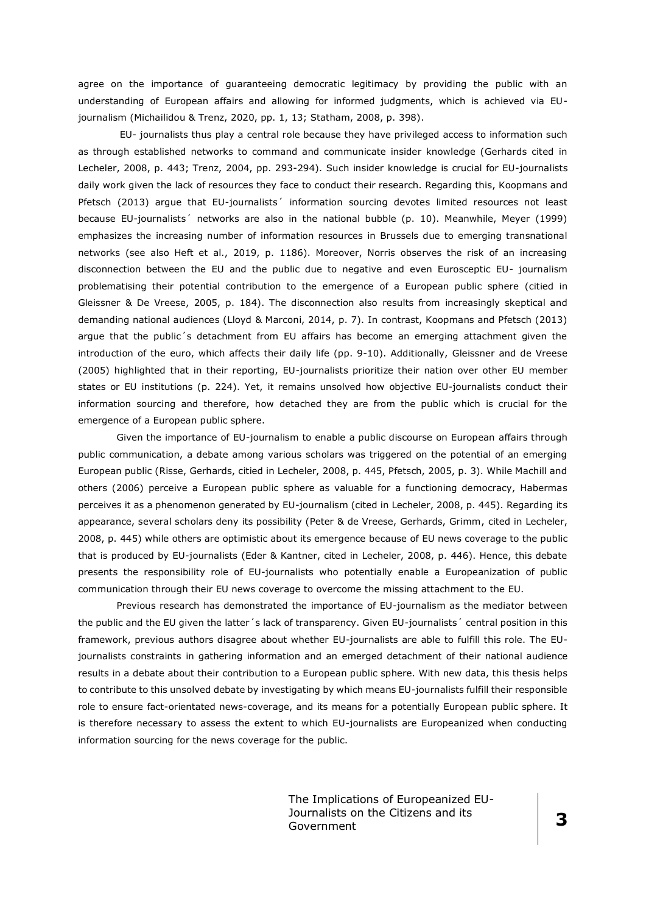agree on the importance of guaranteeing democratic legitimacy by providing the public with an understanding of European affairs and allowing for informed judgments, which is achieved via EUjournalism (Michailidou & Trenz, 2020, pp. 1, 13; Statham, 2008, p. 398).

EU- journalists thus play a central role because they have privileged access to information such as through established networks to command and communicate insider knowledge (Gerhards cited in Lecheler, 2008, p. 443; Trenz, 2004, pp. 293-294). Such insider knowledge is crucial for EU-journalists daily work given the lack of resources they face to conduct their research. Regarding this, Koopmans and Pfetsch (2013) argue that EU-journalists' information sourcing devotes limited resources not least because EU-journalists´ networks are also in the national bubble (p. 10). Meanwhile, Meyer (1999) emphasizes the increasing number of information resources in Brussels due to emerging transnational networks (see also Heft et al., 2019, p. 1186). Moreover, Norris observes the risk of an increasing disconnection between the EU and the public due to negative and even Eurosceptic EU- journalism problematising their potential contribution to the emergence of a European public sphere (citied in Gleissner & De Vreese, 2005, p. 184). The disconnection also results from increasingly skeptical and demanding national audiences (Lloyd & Marconi, 2014, p. 7). In contrast, Koopmans and Pfetsch (2013) argue that the public´s detachment from EU affairs has become an emerging attachment given the introduction of the euro, which affects their daily life (pp. 9-10). Additionally, Gleissner and de Vreese (2005) highlighted that in their reporting, EU-journalists prioritize their nation over other EU member states or EU institutions (p. 224). Yet, it remains unsolved how objective EU-journalists conduct their information sourcing and therefore, how detached they are from the public which is crucial for the emergence of a European public sphere.

Given the importance of EU-journalism to enable a public discourse on European affairs through public communication, a debate among various scholars was triggered on the potential of an emerging European public (Risse, Gerhards, citied in Lecheler, 2008, p. 445, Pfetsch, 2005, p. 3). While Machill and others (2006) perceive a European public sphere as valuable for a functioning democracy, Habermas perceives it as a phenomenon generated by EU-journalism (cited in Lecheler, 2008, p. 445). Regarding its appearance, several scholars deny its possibility (Peter & de Vreese, Gerhards, Grimm, cited in Lecheler, 2008, p. 445) while others are optimistic about its emergence because of EU news coverage to the public that is produced by EU-journalists (Eder & Kantner, cited in Lecheler, 2008, p. 446). Hence, this debate presents the responsibility role of EU-journalists who potentially enable a Europeanization of public communication through their EU news coverage to overcome the missing attachment to the EU.

Previous research has demonstrated the importance of EU-journalism as the mediator between the public and the EU given the latter´s lack of transparency. Given EU-journalists´ central position in this framework, previous authors disagree about whether EU-journalists are able to fulfill this role. The EUjournalists constraints in gathering information and an emerged detachment of their national audience results in a debate about their contribution to a European public sphere. With new data, this thesis helps to contribute to this unsolved debate by investigating by which means EU-journalists fulfill their responsible role to ensure fact-orientated news-coverage, and its means for a potentially European public sphere. It is therefore necessary to assess the extent to which EU-journalists are Europeanized when conducting information sourcing for the news coverage for the public.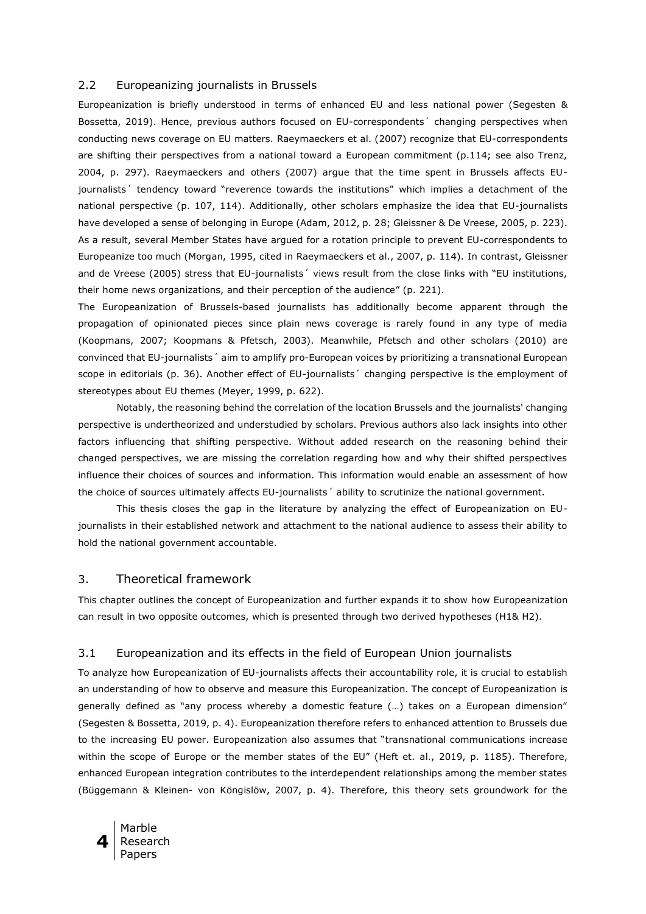#### 2.2 Europeanizing journalists in Brussels

Europeanization is briefly understood in terms of enhanced EU and less national power (Segesten & Bossetta, 2019). Hence, previous authors focused on EU-correspondents´ changing perspectives when conducting news coverage on EU matters. Raeymaeckers et al. (2007) recognize that EU-correspondents are shifting their perspectives from a national toward a European commitment (p.114; see also Trenz, 2004, p. 297). Raeymaeckers and others (2007) argue that the time spent in Brussels affects EUjournalists´ tendency toward "reverence towards the institutions" which implies a detachment of the national perspective (p. 107, 114). Additionally, other scholars emphasize the idea that EU-journalists have developed a sense of belonging in Europe (Adam, 2012, p. 28; Gleissner & De Vreese, 2005, p. 223). As a result, several Member States have argued for a rotation principle to prevent EU-correspondents to Europeanize too much (Morgan, 1995, cited in Raeymaeckers et al., 2007, p. 114). In contrast, Gleissner and de Vreese (2005) stress that EU-journalists' views result from the close links with "EU institutions, their home news organizations, and their perception of the audience" (p. 221).

The Europeanization of Brussels-based journalists has additionally become apparent through the propagation of opinionated pieces since plain news coverage is rarely found in any type of media (Koopmans, 2007; Koopmans & Pfetsch, 2003). Meanwhile, Pfetsch and other scholars (2010) are convinced that EU-journalists´ aim to amplify pro-European voices by prioritizing a transnational European scope in editorials (p. 36). Another effect of EU-journalists' changing perspective is the employment of stereotypes about EU themes (Meyer, 1999, p. 622).

Notably, the reasoning behind the correlation of the location Brussels and the journalists' changing perspective is undertheorized and understudied by scholars. Previous authors also lack insights into other factors influencing that shifting perspective. Without added research on the reasoning behind their changed perspectives, we are missing the correlation regarding how and why their shifted perspectives influence their choices of sources and information. This information would enable an assessment of how the choice of sources ultimately affects EU-journalists´ ability to scrutinize the national government.

This thesis closes the gap in the literature by analyzing the effect of Europeanization on EUjournalists in their established network and attachment to the national audience to assess their ability to hold the national government accountable.

#### 3. Theoretical framework

This chapter outlines the concept of Europeanization and further expands it to show how Europeanization can result in two opposite outcomes, which is presented through two derived hypotheses (H1& H2).

## 3.1 Europeanization and its effects in the field of European Union journalists

To analyze how Europeanization of EU-journalists affects their accountability role, it is crucial to establish an understanding of how to observe and measure this Europeanization. The concept of Europeanization is generally defined as "any process whereby a domestic feature (…) takes on a European dimension" (Segesten & Bossetta, 2019, p. 4). Europeanization therefore refers to enhanced attention to Brussels due to the increasing EU power. Europeanization also assumes that "transnational communications increase within the scope of Europe or the member states of the EU" (Heft et. al., 2019, p. 1185). Therefore, enhanced European integration contributes to the interdependent relationships among the member states (Büggemann & Kleinen- von Köngislöw, 2007, p. 4). Therefore, this theory sets groundwork for the

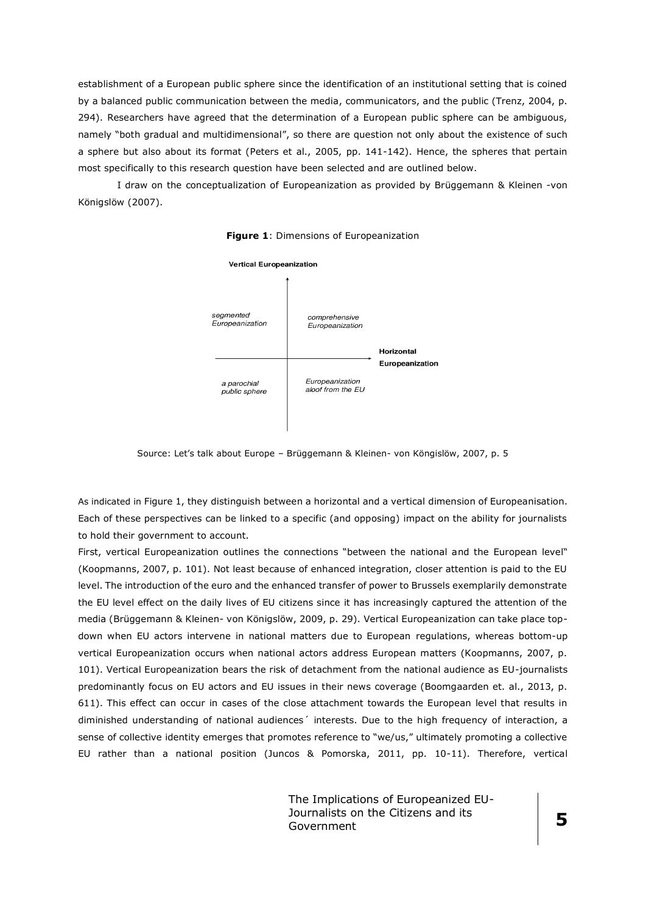establishment of a European public sphere since the identification of an institutional setting that is coined by a balanced public communication between the media, communicators, and the public (Trenz, 2004, p. 294). Researchers have agreed that the determination of a European public sphere can be ambiguous, namely "both gradual and multidimensional", so there are question not only about the existence of such a sphere but also about its format (Peters et al., 2005, pp. 141-142). Hence, the spheres that pertain most specifically to this research question have been selected and are outlined below.

I draw on the conceptualization of Europeanization as provided by Brüggemann & Kleinen -von Königslöw (2007).



**Figure 1**: Dimensions of Europeanization

Source: Let's talk about Europe – Brüggemann & Kleinen- von Köngislöw, 2007, p. 5

As indicated in Figure 1, they distinguish between a horizontal and a vertical dimension of Europeanisation. Each of these perspectives can be linked to a specific (and opposing) impact on the ability for journalists to hold their government to account.

First, vertical Europeanization outlines the connections "between the national and the European level" (Koopmanns, 2007, p. 101). Not least because of enhanced integration, closer attention is paid to the EU level. The introduction of the euro and the enhanced transfer of power to Brussels exemplarily demonstrate the EU level effect on the daily lives of EU citizens since it has increasingly captured the attention of the media (Brüggemann & Kleinen- von Königslöw, 2009, p. 29). Vertical Europeanization can take place topdown when EU actors intervene in national matters due to European regulations, whereas bottom-up vertical Europeanization occurs when national actors address European matters (Koopmanns, 2007, p. 101). Vertical Europeanization bears the risk of detachment from the national audience as EU-journalists predominantly focus on EU actors and EU issues in their news coverage (Boomgaarden et. al., 2013, p. 611). This effect can occur in cases of the close attachment towards the European level that results in diminished understanding of national audiences´ interests. Due to the high frequency of interaction, a sense of collective identity emerges that promotes reference to "we/us," ultimately promoting a collective EU rather than a national position (Juncos & Pomorska, 2011, pp. 10-11). Therefore, vertical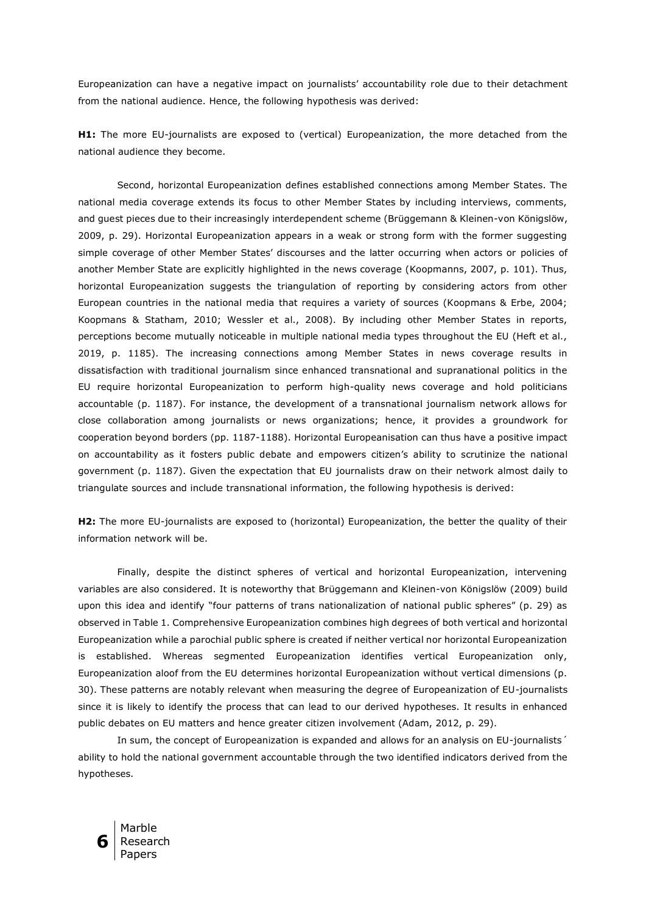Europeanization can have a negative impact on journalists' accountability role due to their detachment from the national audience. Hence, the following hypothesis was derived:

**H1:** The more EU-journalists are exposed to (vertical) Europeanization, the more detached from the national audience they become.

Second, horizontal Europeanization defines established connections among Member States. The national media coverage extends its focus to other Member States by including interviews, comments, and guest pieces due to their increasingly interdependent scheme (Brüggemann & Kleinen-von Königslöw, 2009, p. 29). Horizontal Europeanization appears in a weak or strong form with the former suggesting simple coverage of other Member States' discourses and the latter occurring when actors or policies of another Member State are explicitly highlighted in the news coverage (Koopmanns, 2007, p. 101). Thus, horizontal Europeanization suggests the triangulation of reporting by considering actors from other European countries in the national media that requires a variety of sources (Koopmans & Erbe, 2004; Koopmans & Statham, 2010; Wessler et al., 2008). By including other Member States in reports, perceptions become mutually noticeable in multiple national media types throughout the EU (Heft et al., 2019, p. 1185). The increasing connections among Member States in news coverage results in dissatisfaction with traditional journalism since enhanced transnational and supranational politics in the EU require horizontal Europeanization to perform high-quality news coverage and hold politicians accountable (p. 1187). For instance, the development of a transnational journalism network allows for close collaboration among journalists or news organizations; hence, it provides a groundwork for cooperation beyond borders (pp. 1187-1188). Horizontal Europeanisation can thus have a positive impact on accountability as it fosters public debate and empowers citizen's ability to scrutinize the national government (p. 1187). Given the expectation that EU journalists draw on their network almost daily to triangulate sources and include transnational information, the following hypothesis is derived:

**H2:** The more EU-journalists are exposed to (horizontal) Europeanization, the better the quality of their information network will be.

Finally, despite the distinct spheres of vertical and horizontal Europeanization, intervening variables are also considered. It is noteworthy that Brüggemann and Kleinen-von Königslöw (2009) build upon this idea and identify "four patterns of trans nationalization of national public spheres" (p. 29) as observed in Table 1. Comprehensive Europeanization combines high degrees of both vertical and horizontal Europeanization while a parochial public sphere is created if neither vertical nor horizontal Europeanization is established. Whereas segmented Europeanization identifies vertical Europeanization only, Europeanization aloof from the EU determines horizontal Europeanization without vertical dimensions (p. 30). These patterns are notably relevant when measuring the degree of Europeanization of EU-journalists since it is likely to identify the process that can lead to our derived hypotheses. It results in enhanced public debates on EU matters and hence greater citizen involvement (Adam, 2012, p. 29).

In sum, the concept of Europeanization is expanded and allows for an analysis on EU-journalists' ability to hold the national government accountable through the two identified indicators derived from the hypotheses.

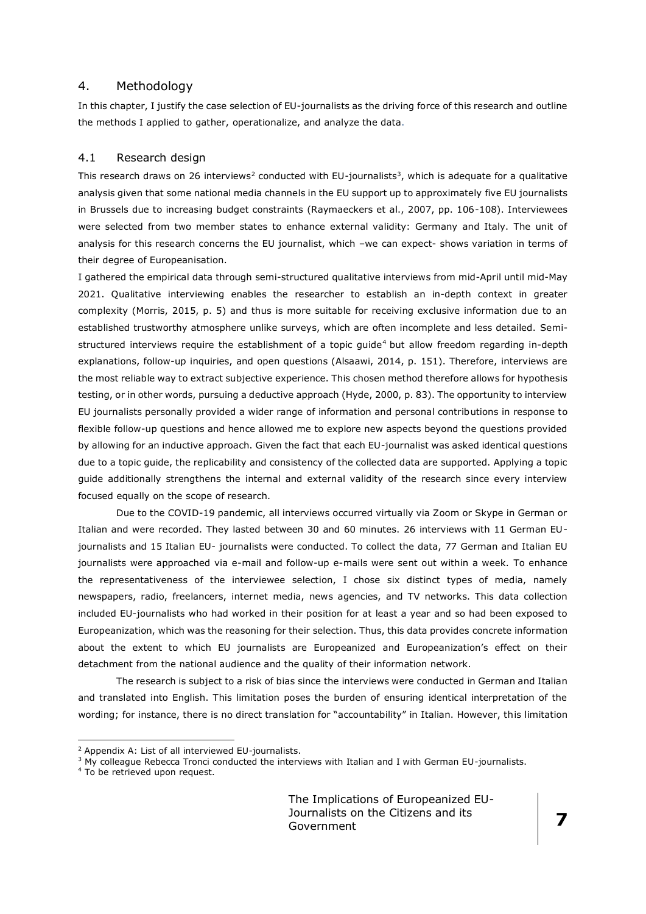## 4. Methodology

In this chapter, I justify the case selection of EU-journalists as the driving force of this research and outline the methods I applied to gather, operationalize, and analyze the data.

#### 4.1 Research design

This research draws on 26 interviews<sup>2</sup> conducted with EU-journalists<sup>3</sup>, which is adequate for a qualitative analysis given that some national media channels in the EU support up to approximately five EU journalists in Brussels due to increasing budget constraints (Raymaeckers et al., 2007, pp. 106-108). Interviewees were selected from two member states to enhance external validity: Germany and Italy. The unit of analysis for this research concerns the EU journalist, which –we can expect- shows variation in terms of their degree of Europeanisation.

I gathered the empirical data through semi-structured qualitative interviews from mid-April until mid-May 2021. Qualitative interviewing enables the researcher to establish an in-depth context in greater complexity (Morris, 2015, p. 5) and thus is more suitable for receiving exclusive information due to an established trustworthy atmosphere unlike surveys, which are often incomplete and less detailed. Semistructured interviews require the establishment of a topic quide<sup>4</sup> but allow freedom regarding in-depth explanations, follow-up inquiries, and open questions (Alsaawi, 2014, p. 151). Therefore, interviews are the most reliable way to extract subjective experience. This chosen method therefore allows for hypothesis testing, or in other words, pursuing a deductive approach (Hyde, 2000, p. 83). The opportunity to interview EU journalists personally provided a wider range of information and personal contributions in response to flexible follow-up questions and hence allowed me to explore new aspects beyond the questions provided by allowing for an inductive approach. Given the fact that each EU-journalist was asked identical questions due to a topic guide, the replicability and consistency of the collected data are supported. Applying a topic guide additionally strengthens the internal and external validity of the research since every interview focused equally on the scope of research.

Due to the COVID-19 pandemic, all interviews occurred virtually via Zoom or Skype in German or Italian and were recorded. They lasted between 30 and 60 minutes. 26 interviews with 11 German EUjournalists and 15 Italian EU- journalists were conducted. To collect the data, 77 German and Italian EU journalists were approached via e-mail and follow-up e-mails were sent out within a week. To enhance the representativeness of the interviewee selection, I chose six distinct types of media, namely newspapers, radio, freelancers, internet media, news agencies, and TV networks. This data collection included EU-journalists who had worked in their position for at least a year and so had been exposed to Europeanization, which was the reasoning for their selection. Thus, this data provides concrete information about the extent to which EU journalists are Europeanized and Europeanization's effect on their detachment from the national audience and the quality of their information network.

The research is subject to a risk of bias since the interviews were conducted in German and Italian and translated into English. This limitation poses the burden of ensuring identical interpretation of the wording; for instance, there is no direct translation for "accountability" in Italian. However, this limitation

<sup>4</sup> To be retrieved upon request.

<u>.</u>

<sup>2</sup> Appendix A: List of all interviewed EU-journalists.

 $3$  My colleague Rebecca Tronci conducted the interviews with Italian and I with German EU-journalists.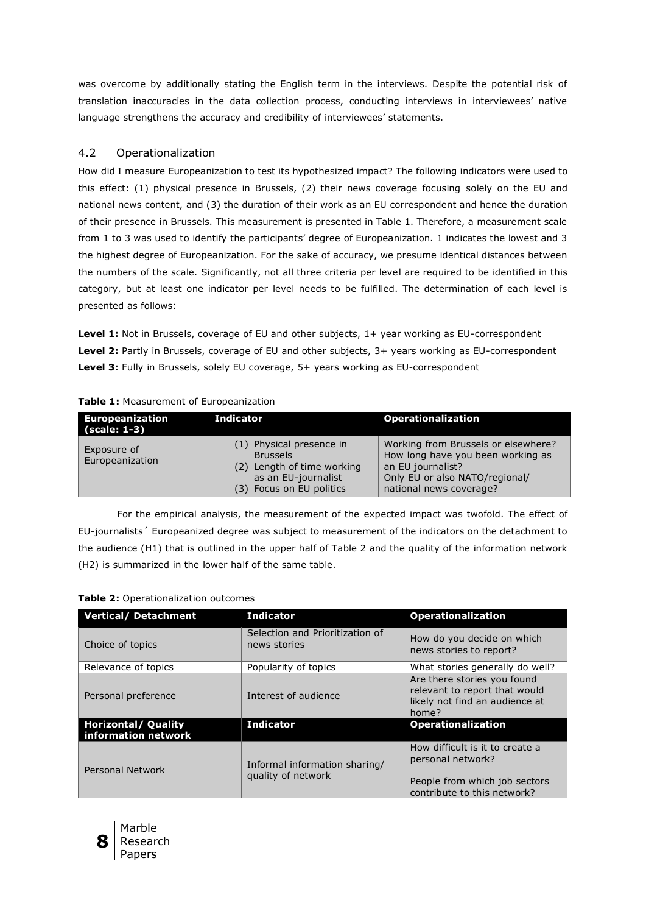was overcome by additionally stating the English term in the interviews. Despite the potential risk of translation inaccuracies in the data collection process, conducting interviews in interviewees' native language strengthens the accuracy and credibility of interviewees' statements.

## 4.2 Operationalization

How did I measure Europeanization to test its hypothesized impact? The following indicators were used to this effect: (1) physical presence in Brussels, (2) their news coverage focusing solely on the EU and national news content, and (3) the duration of their work as an EU correspondent and hence the duration of their presence in Brussels. This measurement is presented in Table 1. Therefore, a measurement scale from 1 to 3 was used to identify the participants' degree of Europeanization. 1 indicates the lowest and 3 the highest degree of Europeanization. For the sake of accuracy, we presume identical distances between the numbers of the scale. Significantly, not all three criteria per level are required to be identified in this category, but at least one indicator per level needs to be fulfilled. The determination of each level is presented as follows:

Level 1: Not in Brussels, coverage of EU and other subjects, 1+ year working as EU-correspondent **Level 2:** Partly in Brussels, coverage of EU and other subjects, 3+ years working as EU-correspondent **Level 3:** Fully in Brussels, solely EU coverage, 5+ years working as EU-correspondent

| <b>Europeanization</b><br>(scale: 1-3) | <b>Indicator</b>                                                                                                             | <b>Operationalization</b>                                                                                                                                  |
|----------------------------------------|------------------------------------------------------------------------------------------------------------------------------|------------------------------------------------------------------------------------------------------------------------------------------------------------|
| Exposure of<br>Europeanization         | (1) Physical presence in<br><b>Brussels</b><br>(2) Length of time working<br>as an EU-journalist<br>(3) Focus on EU politics | Working from Brussels or elsewhere?<br>How long have you been working as<br>an EU journalist?<br>Only EU or also NATO/regional/<br>national news coverage? |

## **Table 1:** Measurement of Europeanization

For the empirical analysis, the measurement of the expected impact was twofold. The effect of EU-journalists´ Europeanized degree was subject to measurement of the indicators on the detachment to the audience (H1) that is outlined in the upper half of Table 2 and the quality of the information network (H2) is summarized in the lower half of the same table.

## **Table 2:** Operationalization outcomes

| <b>Vertical/ Detachment</b>                       | <b>Indicator</b>                                    | <b>Operationalization</b>                                                                                            |
|---------------------------------------------------|-----------------------------------------------------|----------------------------------------------------------------------------------------------------------------------|
| Choice of topics                                  | Selection and Prioritization of<br>news stories     | How do you decide on which<br>news stories to report?                                                                |
| Relevance of topics                               | Popularity of topics                                | What stories generally do well?                                                                                      |
| Personal preference                               | Interest of audience                                | Are there stories you found<br>relevant to report that would<br>likely not find an audience at<br>home?              |
| <b>Horizontal/ Quality</b><br>information network | <b>Indicator</b><br><b>Operationalization</b>       |                                                                                                                      |
| Personal Network                                  | Informal information sharing/<br>quality of network | How difficult is it to create a<br>personal network?<br>People from which job sectors<br>contribute to this network? |

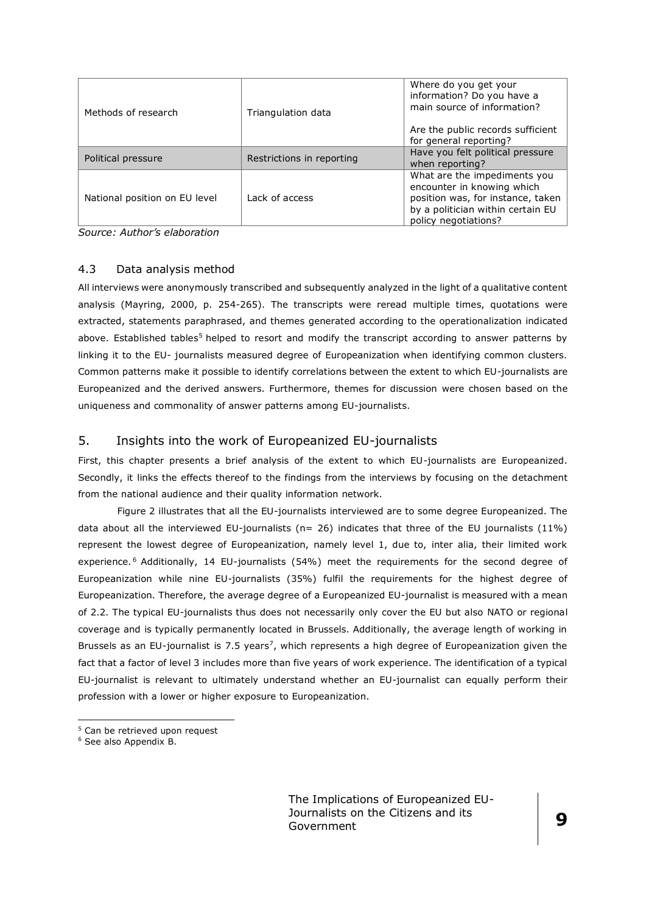| Methods of research           | Triangulation data        | Where do you get your<br>information? Do you have a<br>main source of information?                                                                           |  |
|-------------------------------|---------------------------|--------------------------------------------------------------------------------------------------------------------------------------------------------------|--|
|                               |                           | Are the public records sufficient<br>for general reporting?                                                                                                  |  |
| Political pressure            | Restrictions in reporting | Have you felt political pressure<br>when reporting?                                                                                                          |  |
| National position on EU level | Lack of access            | What are the impediments you<br>encounter in knowing which<br>position was, for instance, taken<br>by a politician within certain EU<br>policy negotiations? |  |

*Source: Author's elaboration*

## 4.3 Data analysis method

All interviews were anonymously transcribed and subsequently analyzed in the light of a qualitative content analysis (Mayring, 2000, p. 254-265). The transcripts were reread multiple times, quotations were extracted, statements paraphrased, and themes generated according to the operationalization indicated above. Established tables<sup>5</sup> helped to resort and modify the transcript according to answer patterns by linking it to the EU- journalists measured degree of Europeanization when identifying common clusters. Common patterns make it possible to identify correlations between the extent to which EU-journalists are Europeanized and the derived answers. Furthermore, themes for discussion were chosen based on the uniqueness and commonality of answer patterns among EU-journalists.

## 5. Insights into the work of Europeanized EU-journalists

First, this chapter presents a brief analysis of the extent to which EU-journalists are Europeanized. Secondly, it links the effects thereof to the findings from the interviews by focusing on the detachment from the national audience and their quality information network.

Figure 2 illustrates that all the EU-journalists interviewed are to some degree Europeanized. The data about all the interviewed EU-journalists ( $n= 26$ ) indicates that three of the EU journalists (11%) represent the lowest degree of Europeanization, namely level 1, due to, inter alia, their limited work experience.<sup>6</sup> Additionally, 14 EU-journalists (54%) meet the requirements for the second degree of Europeanization while nine EU-journalists (35%) fulfil the requirements for the highest degree of Europeanization. Therefore, the average degree of a Europeanized EU-journalist is measured with a mean of 2.2. The typical EU-journalists thus does not necessarily only cover the EU but also NATO or regional coverage and is typically permanently located in Brussels. Additionally, the average length of working in Brussels as an EU-journalist is 7.5 years<sup>7</sup>, which represents a high degree of Europeanization given the fact that a factor of level 3 includes more than five years of work experience. The identification of a typical EU-journalist is relevant to ultimately understand whether an EU-journalist can equally perform their profession with a lower or higher exposure to Europeanization.

<sup>&</sup>lt;u>.</u> <sup>5</sup> Can be retrieved upon request

<sup>6</sup> See also Appendix B.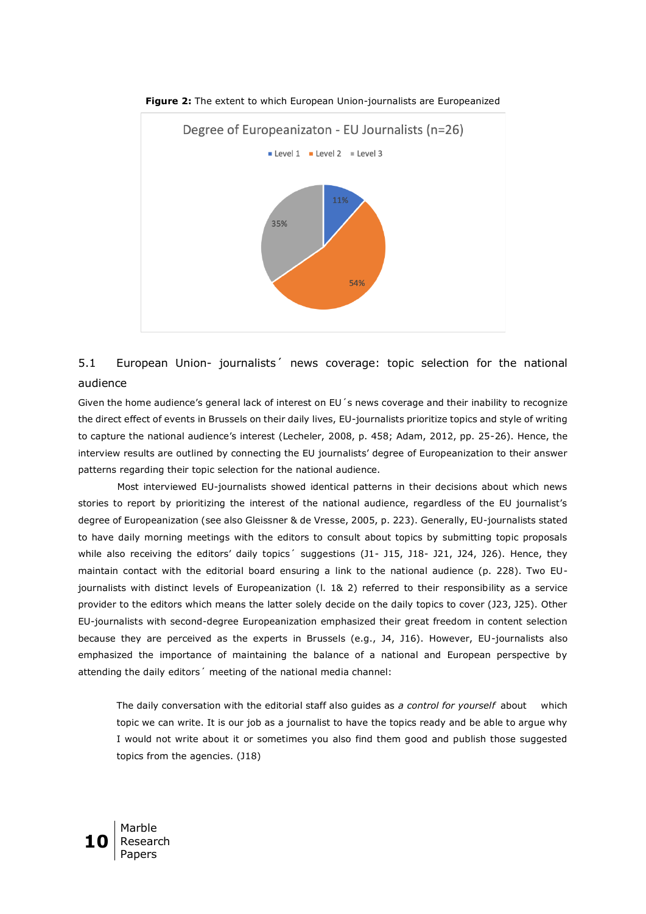

**Figure 2:** The extent to which European Union-journalists are Europeanized

## 5.1 European Union- journalists´ news coverage: topic selection for the national audience

Given the home audience's general lack of interest on EU´s news coverage and their inability to recognize the direct effect of events in Brussels on their daily lives, EU-journalists prioritize topics and style of writing to capture the national audience's interest (Lecheler, 2008, p. 458; Adam, 2012, pp. 25-26). Hence, the interview results are outlined by connecting the EU journalists' degree of Europeanization to their answer patterns regarding their topic selection for the national audience.

Most interviewed EU-journalists showed identical patterns in their decisions about which news stories to report by prioritizing the interest of the national audience, regardless of the EU journalist's degree of Europeanization (see also Gleissner & de Vresse, 2005, p. 223). Generally, EU-journalists stated to have daily morning meetings with the editors to consult about topics by submitting topic proposals while also receiving the editors' daily topics' suggestions (J1- J15, J18- J21, J24, J26). Hence, they maintain contact with the editorial board ensuring a link to the national audience (p. 228). Two EUjournalists with distinct levels of Europeanization (l. 1& 2) referred to their responsibility as a service provider to the editors which means the latter solely decide on the daily topics to cover (J23, J25). Other EU-journalists with second-degree Europeanization emphasized their great freedom in content selection because they are perceived as the experts in Brussels (e.g., J4, J16). However, EU-journalists also emphasized the importance of maintaining the balance of a national and European perspective by attending the daily editors´ meeting of the national media channel:

The daily conversation with the editorial staff also guides as *a control for yourself* about which topic we can write. It is our job as a journalist to have the topics ready and be able to argue why I would not write about it or sometimes you also find them good and publish those suggested topics from the agencies. (J18)

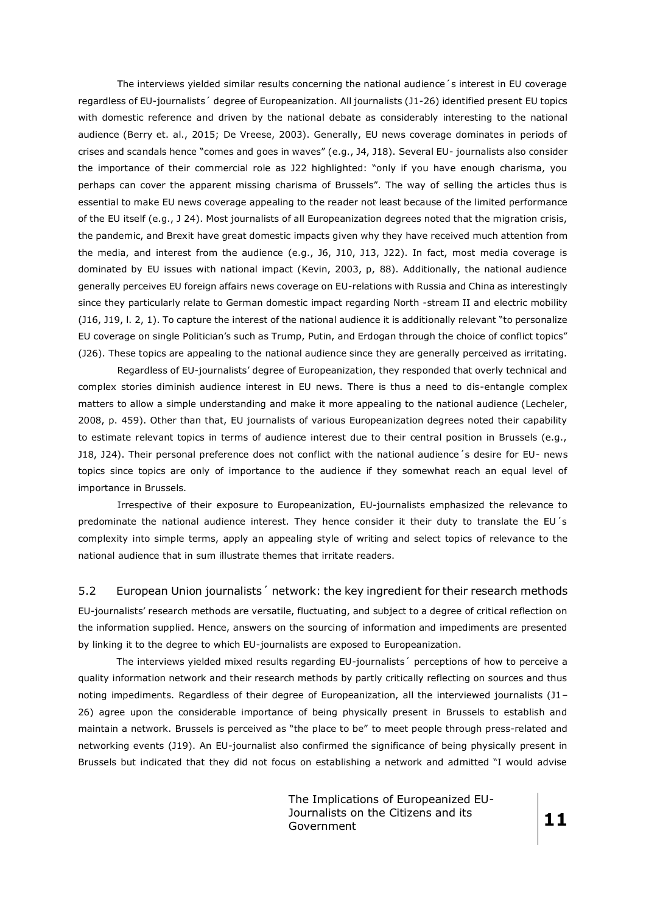The interviews yielded similar results concerning the national audience´s interest in EU coverage regardless of EU-journalists´ degree of Europeanization. All journalists (J1-26) identified present EU topics with domestic reference and driven by the national debate as considerably interesting to the national audience (Berry et. al., 2015; De Vreese, 2003). Generally, EU news coverage dominates in periods of crises and scandals hence "comes and goes in waves" (e.g., J4, J18). Several EU- journalists also consider the importance of their commercial role as J22 highlighted: "only if you have enough charisma, you perhaps can cover the apparent missing charisma of Brussels". The way of selling the articles thus is essential to make EU news coverage appealing to the reader not least because of the limited performance of the EU itself (e.g., J 24). Most journalists of all Europeanization degrees noted that the migration crisis, the pandemic, and Brexit have great domestic impacts given why they have received much attention from the media, and interest from the audience (e.g., J6, J10, J13, J22). In fact, most media coverage is dominated by EU issues with national impact (Kevin, 2003, p, 88). Additionally, the national audience generally perceives EU foreign affairs news coverage on EU-relations with Russia and China as interestingly since they particularly relate to German domestic impact regarding North -stream II and electric mobility (J16, J19, l. 2, 1). To capture the interest of the national audience it is additionally relevant "to personalize EU coverage on single Politician's such as Trump, Putin, and Erdogan through the choice of conflict topics" (J26). These topics are appealing to the national audience since they are generally perceived as irritating.

Regardless of EU-journalists' degree of Europeanization, they responded that overly technical and complex stories diminish audience interest in EU news. There is thus a need to dis-entangle complex matters to allow a simple understanding and make it more appealing to the national audience (Lecheler, 2008, p. 459). Other than that, EU journalists of various Europeanization degrees noted their capability to estimate relevant topics in terms of audience interest due to their central position in Brussels (e.g., J18, J24). Their personal preference does not conflict with the national audience´s desire for EU- news topics since topics are only of importance to the audience if they somewhat reach an equal level of importance in Brussels.

Irrespective of their exposure to Europeanization, EU-journalists emphasized the relevance to predominate the national audience interest. They hence consider it their duty to translate the EU´s complexity into simple terms, apply an appealing style of writing and select topics of relevance to the national audience that in sum illustrate themes that irritate readers.

#### 5.2 European Union journalists´ network: the key ingredient for their research methods

EU-journalists' research methods are versatile, fluctuating, and subject to a degree of critical reflection on the information supplied. Hence, answers on the sourcing of information and impediments are presented by linking it to the degree to which EU-journalists are exposed to Europeanization.

The interviews yielded mixed results regarding EU-journalists´ perceptions of how to perceive a quality information network and their research methods by partly critically reflecting on sources and thus noting impediments. Regardless of their degree of Europeanization, all the interviewed journalists (J1– 26) agree upon the considerable importance of being physically present in Brussels to establish and maintain a network. Brussels is perceived as "the place to be" to meet people through press-related and networking events (J19). An EU-journalist also confirmed the significance of being physically present in Brussels but indicated that they did not focus on establishing a network and admitted "I would advise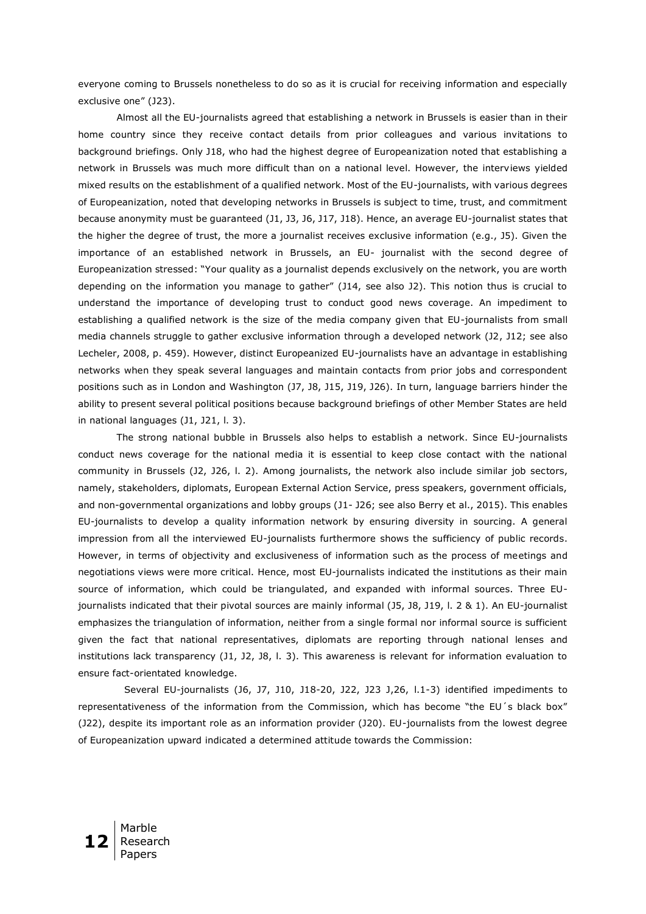everyone coming to Brussels nonetheless to do so as it is crucial for receiving information and especially exclusive one" (J23).

Almost all the EU-journalists agreed that establishing a network in Brussels is easier than in their home country since they receive contact details from prior colleagues and various invitations to background briefings. Only J18, who had the highest degree of Europeanization noted that establishing a network in Brussels was much more difficult than on a national level. However, the interviews yielded mixed results on the establishment of a qualified network. Most of the EU-journalists, with various degrees of Europeanization, noted that developing networks in Brussels is subject to time, trust, and commitment because anonymity must be guaranteed (J1, J3, J6, J17, J18). Hence, an average EU-journalist states that the higher the degree of trust, the more a journalist receives exclusive information (e.g., J5). Given the importance of an established network in Brussels, an EU- journalist with the second degree of Europeanization stressed: "Your quality as a journalist depends exclusively on the network, you are worth depending on the information you manage to gather" (J14, see also J2). This notion thus is crucial to understand the importance of developing trust to conduct good news coverage. An impediment to establishing a qualified network is the size of the media company given that EU-journalists from small media channels struggle to gather exclusive information through a developed network (J2, J12; see also Lecheler, 2008, p. 459). However, distinct Europeanized EU-journalists have an advantage in establishing networks when they speak several languages and maintain contacts from prior jobs and correspondent positions such as in London and Washington (J7, J8, J15, J19, J26). In turn, language barriers hinder the ability to present several political positions because background briefings of other Member States are held in national languages (J1, J21, l. 3).

The strong national bubble in Brussels also helps to establish a network. Since EU-journalists conduct news coverage for the national media it is essential to keep close contact with the national community in Brussels (J2, J26, l. 2). Among journalists, the network also include similar job sectors, namely, stakeholders, diplomats, European External Action Service, press speakers, government officials, and non-governmental organizations and lobby groups (J1- J26; see also Berry et al., 2015). This enables EU-journalists to develop a quality information network by ensuring diversity in sourcing. A general impression from all the interviewed EU-journalists furthermore shows the sufficiency of public records. However, in terms of objectivity and exclusiveness of information such as the process of meetings and negotiations views were more critical. Hence, most EU-journalists indicated the institutions as their main source of information, which could be triangulated, and expanded with informal sources. Three EUjournalists indicated that their pivotal sources are mainly informal (J5, J8, J19, l. 2 & 1). An EU-journalist emphasizes the triangulation of information, neither from a single formal nor informal source is sufficient given the fact that national representatives, diplomats are reporting through national lenses and institutions lack transparency (J1, J2, J8, l. 3). This awareness is relevant for information evaluation to ensure fact-orientated knowledge.

Several EU-journalists (J6, J7, J10, J18-20, J22, J23 J,26, l.1-3) identified impediments to representativeness of the information from the Commission, which has become "the EU´s black box" (J22), despite its important role as an information provider (J20). EU-journalists from the lowest degree of Europeanization upward indicated a determined attitude towards the Commission:

**12** Marble Research Papers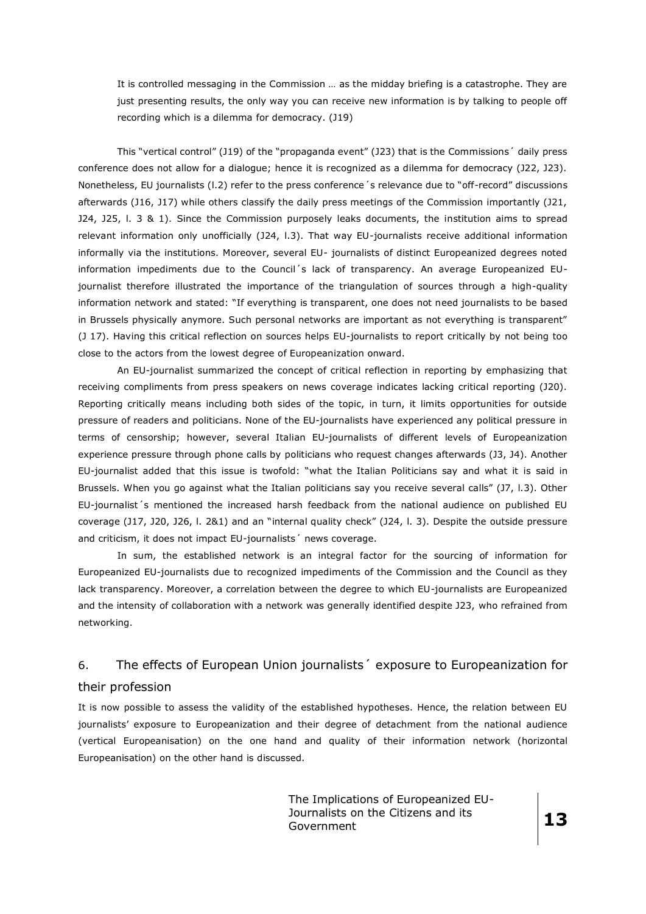It is controlled messaging in the Commission … as the midday briefing is a catastrophe. They are just presenting results, the only way you can receive new information is by talking to people off recording which is a dilemma for democracy. (J19)

This "vertical control" (J19) of the "propaganda event" (J23) that is the Commissions´ daily press conference does not allow for a dialogue; hence it is recognized as a dilemma for democracy (J22, J23). Nonetheless, EU journalists (l.2) refer to the press conference´s relevance due to "off-record" discussions afterwards (J16, J17) while others classify the daily press meetings of the Commission importantly (J21, J24, J25, l. 3 & 1). Since the Commission purposely leaks documents, the institution aims to spread relevant information only unofficially (J24, l.3). That way EU-journalists receive additional information informally via the institutions. Moreover, several EU- journalists of distinct Europeanized degrees noted information impediments due to the Council´s lack of transparency. An average Europeanized EUjournalist therefore illustrated the importance of the triangulation of sources through a high-quality information network and stated: "If everything is transparent, one does not need journalists to be based in Brussels physically anymore. Such personal networks are important as not everything is transparent" (J 17). Having this critical reflection on sources helps EU-journalists to report critically by not being too close to the actors from the lowest degree of Europeanization onward.

An EU-journalist summarized the concept of critical reflection in reporting by emphasizing that receiving compliments from press speakers on news coverage indicates lacking critical reporting (J20). Reporting critically means including both sides of the topic, in turn, it limits opportunities for outside pressure of readers and politicians. None of the EU-journalists have experienced any political pressure in terms of censorship; however, several Italian EU-journalists of different levels of Europeanization experience pressure through phone calls by politicians who request changes afterwards (J3, J4). Another EU-journalist added that this issue is twofold: "what the Italian Politicians say and what it is said in Brussels. When you go against what the Italian politicians say you receive several calls" (J7, l.3). Other EU-journalist´s mentioned the increased harsh feedback from the national audience on published EU coverage (J17, J20, J26, l. 2&1) and an "internal quality check" (J24, l. 3). Despite the outside pressure and criticism, it does not impact EU-journalists' news coverage.

In sum, the established network is an integral factor for the sourcing of information for Europeanized EU-journalists due to recognized impediments of the Commission and the Council as they lack transparency. Moreover, a correlation between the degree to which EU-journalists are Europeanized and the intensity of collaboration with a network was generally identified despite J23, who refrained from networking.

# 6. The effects of European Union journalists´ exposure to Europeanization for

## their profession

It is now possible to assess the validity of the established hypotheses. Hence, the relation between EU journalists' exposure to Europeanization and their degree of detachment from the national audience (vertical Europeanisation) on the one hand and quality of their information network (horizontal Europeanisation) on the other hand is discussed.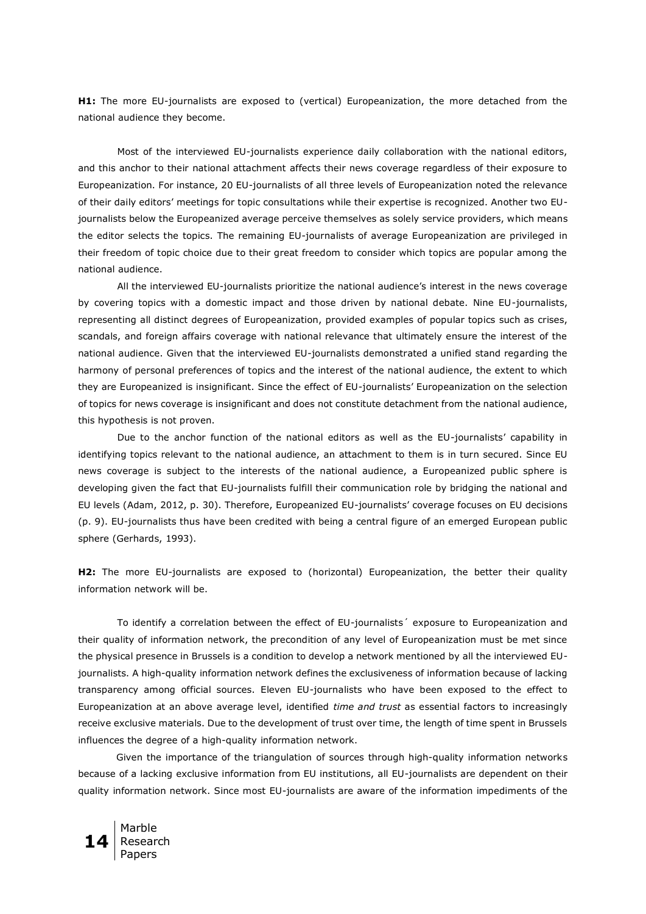**H1:** The more EU-journalists are exposed to (vertical) Europeanization, the more detached from the national audience they become.

Most of the interviewed EU-journalists experience daily collaboration with the national editors, and this anchor to their national attachment affects their news coverage regardless of their exposure to Europeanization. For instance, 20 EU-journalists of all three levels of Europeanization noted the relevance of their daily editors' meetings for topic consultations while their expertise is recognized. Another two EUjournalists below the Europeanized average perceive themselves as solely service providers, which means the editor selects the topics. The remaining EU-journalists of average Europeanization are privileged in their freedom of topic choice due to their great freedom to consider which topics are popular among the national audience.

All the interviewed EU-journalists prioritize the national audience's interest in the news coverage by covering topics with a domestic impact and those driven by national debate. Nine EU-journalists, representing all distinct degrees of Europeanization, provided examples of popular topics such as crises, scandals, and foreign affairs coverage with national relevance that ultimately ensure the interest of the national audience. Given that the interviewed EU-journalists demonstrated a unified stand regarding the harmony of personal preferences of topics and the interest of the national audience, the extent to which they are Europeanized is insignificant. Since the effect of EU-journalists' Europeanization on the selection of topics for news coverage is insignificant and does not constitute detachment from the national audience, this hypothesis is not proven.

Due to the anchor function of the national editors as well as the EU-journalists' capability in identifying topics relevant to the national audience, an attachment to them is in turn secured. Since EU news coverage is subject to the interests of the national audience, a Europeanized public sphere is developing given the fact that EU-journalists fulfill their communication role by bridging the national and EU levels (Adam, 2012, p. 30). Therefore, Europeanized EU-journalists' coverage focuses on EU decisions (p. 9). EU-journalists thus have been credited with being a central figure of an emerged European public sphere (Gerhards, 1993).

**H2:** The more EU-journalists are exposed to (horizontal) Europeanization, the better their quality information network will be.

To identify a correlation between the effect of EU-journalists´ exposure to Europeanization and their quality of information network, the precondition of any level of Europeanization must be met since the physical presence in Brussels is a condition to develop a network mentioned by all the interviewed EUjournalists. A high-quality information network defines the exclusiveness of information because of lacking transparency among official sources. Eleven EU-journalists who have been exposed to the effect to Europeanization at an above average level, identified *time and trust* as essential factors to increasingly receive exclusive materials. Due to the development of trust over time, the length of time spent in Brussels influences the degree of a high-quality information network.

Given the importance of the triangulation of sources through high-quality information networks because of a lacking exclusive information from EU institutions, all EU-journalists are dependent on their quality information network. Since most EU-journalists are aware of the information impediments of the

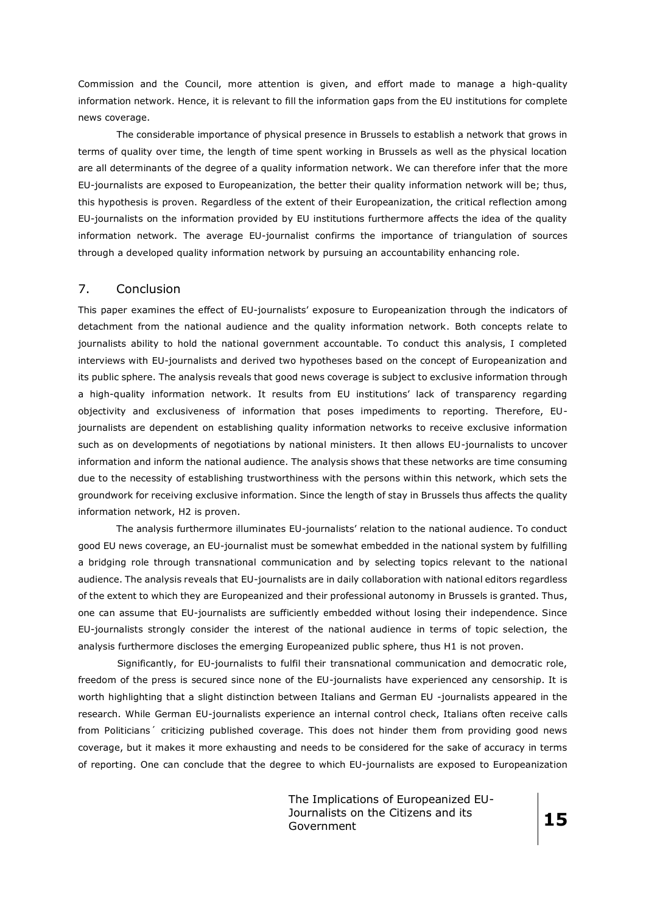Commission and the Council, more attention is given, and effort made to manage a high-quality information network. Hence, it is relevant to fill the information gaps from the EU institutions for complete news coverage.

The considerable importance of physical presence in Brussels to establish a network that grows in terms of quality over time, the length of time spent working in Brussels as well as the physical location are all determinants of the degree of a quality information network. We can therefore infer that the more EU-journalists are exposed to Europeanization, the better their quality information network will be; thus, this hypothesis is proven. Regardless of the extent of their Europeanization, the critical reflection among EU-journalists on the information provided by EU institutions furthermore affects the idea of the quality information network. The average EU-journalist confirms the importance of triangulation of sources through a developed quality information network by pursuing an accountability enhancing role.

## 7. Conclusion

This paper examines the effect of EU-journalists' exposure to Europeanization through the indicators of detachment from the national audience and the quality information network. Both concepts relate to journalists ability to hold the national government accountable. To conduct this analysis, I completed interviews with EU-journalists and derived two hypotheses based on the concept of Europeanization and its public sphere. The analysis reveals that good news coverage is subject to exclusive information through a high-quality information network. It results from EU institutions' lack of transparency regarding objectivity and exclusiveness of information that poses impediments to reporting. Therefore, EUjournalists are dependent on establishing quality information networks to receive exclusive information such as on developments of negotiations by national ministers. It then allows EU-journalists to uncover information and inform the national audience. The analysis shows that these networks are time consuming due to the necessity of establishing trustworthiness with the persons within this network, which sets the groundwork for receiving exclusive information. Since the length of stay in Brussels thus affects the quality information network, H2 is proven.

The analysis furthermore illuminates EU-journalists' relation to the national audience. To conduct good EU news coverage, an EU-journalist must be somewhat embedded in the national system by fulfilling a bridging role through transnational communication and by selecting topics relevant to the national audience. The analysis reveals that EU-journalists are in daily collaboration with national editors regardless of the extent to which they are Europeanized and their professional autonomy in Brussels is granted. Thus, one can assume that EU-journalists are sufficiently embedded without losing their independence. Since EU-journalists strongly consider the interest of the national audience in terms of topic selection, the analysis furthermore discloses the emerging Europeanized public sphere, thus H1 is not proven.

Significantly, for EU-journalists to fulfil their transnational communication and democratic role, freedom of the press is secured since none of the EU-journalists have experienced any censorship. It is worth highlighting that a slight distinction between Italians and German EU -journalists appeared in the research. While German EU-journalists experience an internal control check, Italians often receive calls from Politicians´ criticizing published coverage. This does not hinder them from providing good news coverage, but it makes it more exhausting and needs to be considered for the sake of accuracy in terms of reporting. One can conclude that the degree to which EU-journalists are exposed to Europeanization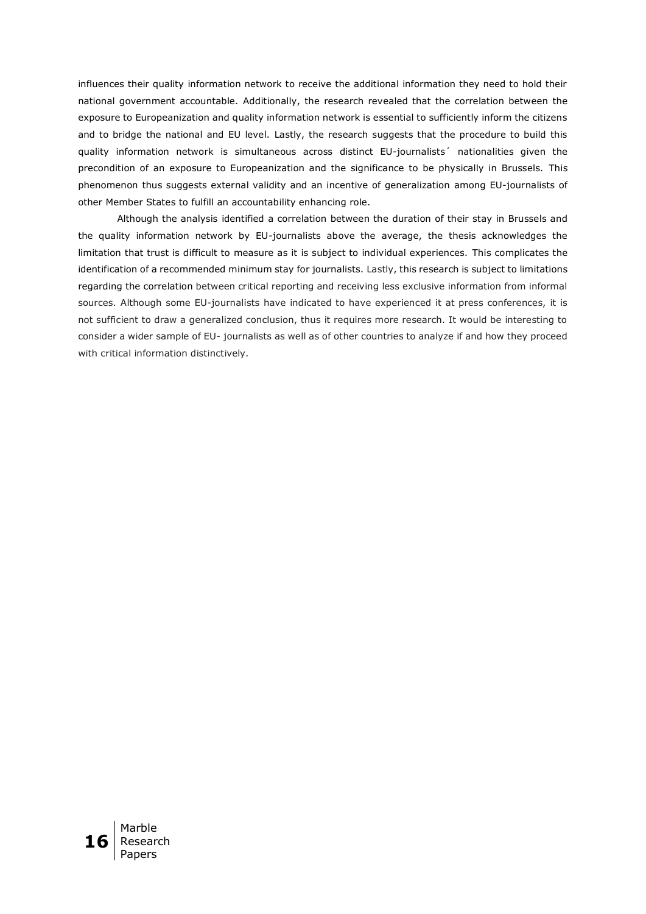influences their quality information network to receive the additional information they need to hold their national government accountable. Additionally, the research revealed that the correlation between the exposure to Europeanization and quality information network is essential to sufficiently inform the citizens and to bridge the national and EU level. Lastly, the research suggests that the procedure to build this quality information network is simultaneous across distinct EU-journalists´ nationalities given the precondition of an exposure to Europeanization and the significance to be physically in Brussels. This phenomenon thus suggests external validity and an incentive of generalization among EU-journalists of other Member States to fulfill an accountability enhancing role.

Although the analysis identified a correlation between the duration of their stay in Brussels and the quality information network by EU-journalists above the average, the thesis acknowledges the limitation that trust is difficult to measure as it is subject to individual experiences. This complicates the identification of a recommended minimum stay for journalists. Lastly, this research is subject to limitations regarding the correlation between critical reporting and receiving less exclusive information from informal sources. Although some EU-journalists have indicated to have experienced it at press conferences, it is not sufficient to draw a generalized conclusion, thus it requires more research. It would be interesting to consider a wider sample of EU- journalists as well as of other countries to analyze if and how they proceed with critical information distinctively.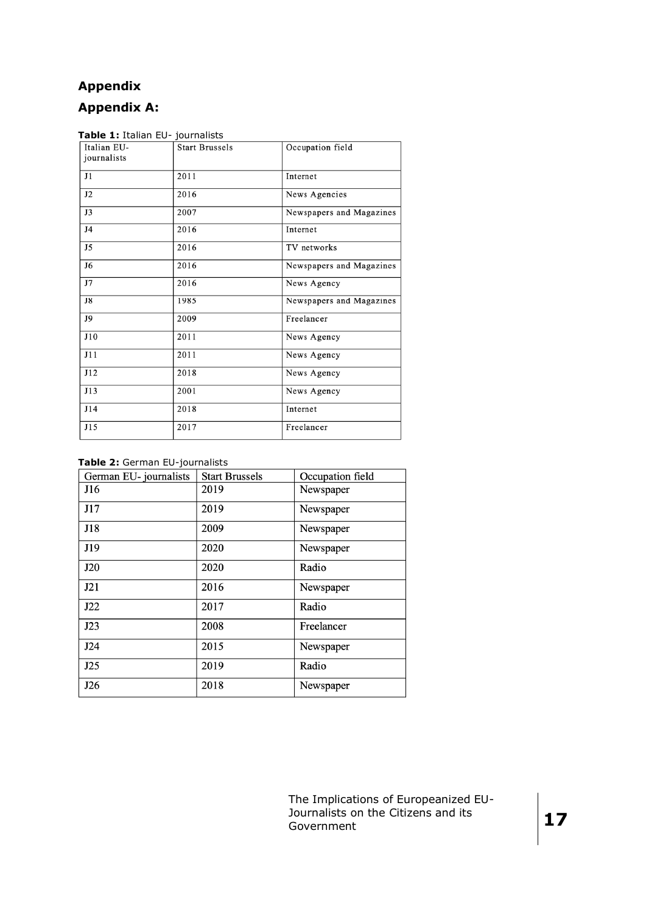# **Appendix**

# **Appendix A:**

| Italian EU-    | <b>Start Brussels</b> | Occupation field         |
|----------------|-----------------------|--------------------------|
| journalists    |                       |                          |
| J1             | 2011                  | Internet                 |
| J2             | 2016                  | News Agencies            |
| J3             | 2007                  | Newspapers and Magazines |
| J <sub>4</sub> | 2016                  | Internet                 |
| J <sub>5</sub> | 2016                  | TV networks              |
| J <sub>6</sub> | 2016                  | Newspapers and Magazines |
| J7             | 2016                  | News Agency              |
| J8             | 1985                  | Newspapers and Magazines |
| J9             | 2009                  | Freelancer               |
| J10            | 2011                  | News Agency              |
| J11            | 2011                  | News Agency              |
| J12            | 2018                  | News Agency              |
| J13            | 2001                  | News Agency              |
| J14            | 2018                  | Internet                 |
| J15            | 2017                  | Freelancer               |

## **Table 2:** German EU-journalists

| German EU- journalists | <b>Start Brussels</b> | Occupation field |
|------------------------|-----------------------|------------------|
| J16                    | 2019                  | Newspaper        |
| J17                    | 2019                  | Newspaper        |
| J18                    | 2009                  | Newspaper        |
| J19                    | 2020                  | Newspaper        |
| J20                    | 2020                  | Radio            |
| J21                    | 2016                  | Newspaper        |
| J22                    | 2017                  | Radio            |
| J23                    | 2008                  | Freelancer       |
| J24                    | 2015                  | Newspaper        |
| J25                    | 2019                  | Radio            |
| J26                    | 2018                  | Newspaper        |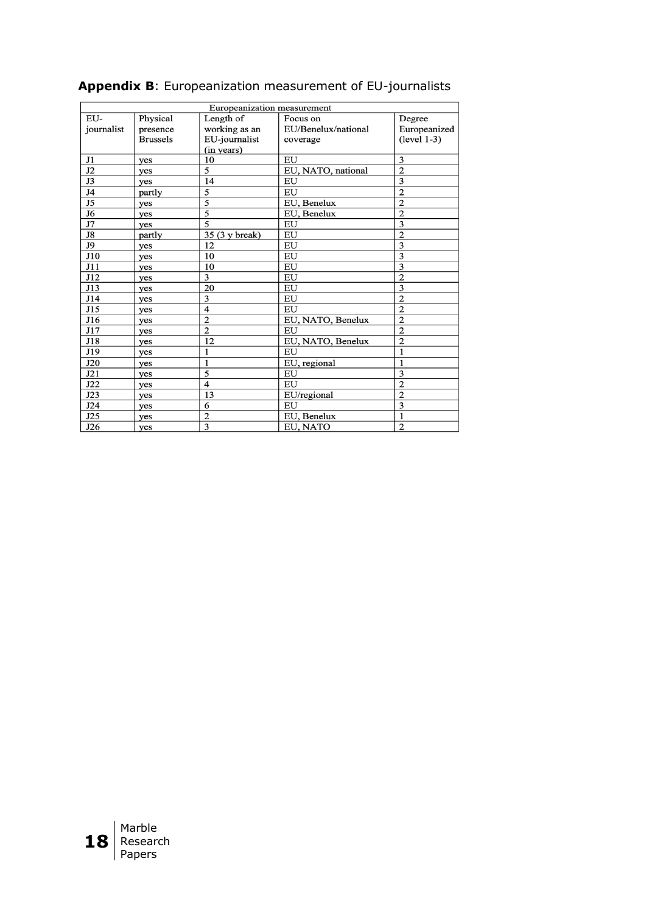| Europeanization measurement |                 |                           |                     |                |
|-----------------------------|-----------------|---------------------------|---------------------|----------------|
| EU-                         | Physical        | Length of                 | Focus on            | Degree         |
| journalist                  | presence        | working as an             | EU/Benelux/national | Europeanized   |
|                             | <b>Brussels</b> | EU-journalist             | coverage            | $(level 1-3)$  |
|                             |                 | (in years)                |                     |                |
| J1                          | yes             | 10                        | EU                  | 3              |
| J2                          | yes             | 5                         | EU, NATO, national  | $\overline{2}$ |
| $\overline{J3}$             | yes             | 14                        | EU                  | 3              |
| J4                          | partly          | 5                         | EU                  | $\overline{2}$ |
| J <sub>5</sub>              | yes             | 5                         | EU, Benelux         | $\overline{2}$ |
| J6                          | yes             | $\overline{5}$            | EU, Benelux         | $\overline{2}$ |
| J7                          | yes             | 5                         | EU                  | 3              |
| J8                          | partly          | 35 (3 y break)            | EU                  | $\overline{2}$ |
| J9                          | yes             | 12                        | EU                  | 3              |
| J10                         | yes             | 10                        | EU                  | 3              |
| J11                         | yes             | 10                        | EU                  | 3              |
| J12                         | yes             | 3                         | EU                  | $\overline{2}$ |
| J13                         | yes             | 20                        | EU                  | 3              |
| J14                         | yes             | 3                         | EU                  | $\overline{2}$ |
| J15                         | yes             | $\overline{4}$            | EU                  | $\overline{2}$ |
| J16                         | yes             | $\overline{2}$            | EU, NATO, Benelux   | $\overline{2}$ |
| J17                         | yes             | $\overline{2}$            | EU                  | $\overline{2}$ |
| J18                         | yes             | 12                        | EU, NATO, Benelux   | $\overline{2}$ |
| J19                         | yes             | 1                         | EU                  | 1              |
| J20                         | yes             | $\mathbf{1}$              | EU, regional        | $\mathbf{1}$   |
| J21                         | yes             | 5                         | EU                  | 3              |
| J22                         | yes             | $\overline{4}$            | EU                  | $\overline{2}$ |
| J23                         | yes             | 13                        | EU/regional         | $\overline{2}$ |
| J24                         | yes             | 6                         | EU                  | 3              |
| J25                         | yes             | $\overline{2}$            | EU, Benelux         | 1              |
| J26                         | yes             | $\overline{\overline{3}}$ | EU, NATO            | $\overline{2}$ |

# **Appendix B**: Europeanization measurement of EU-journalists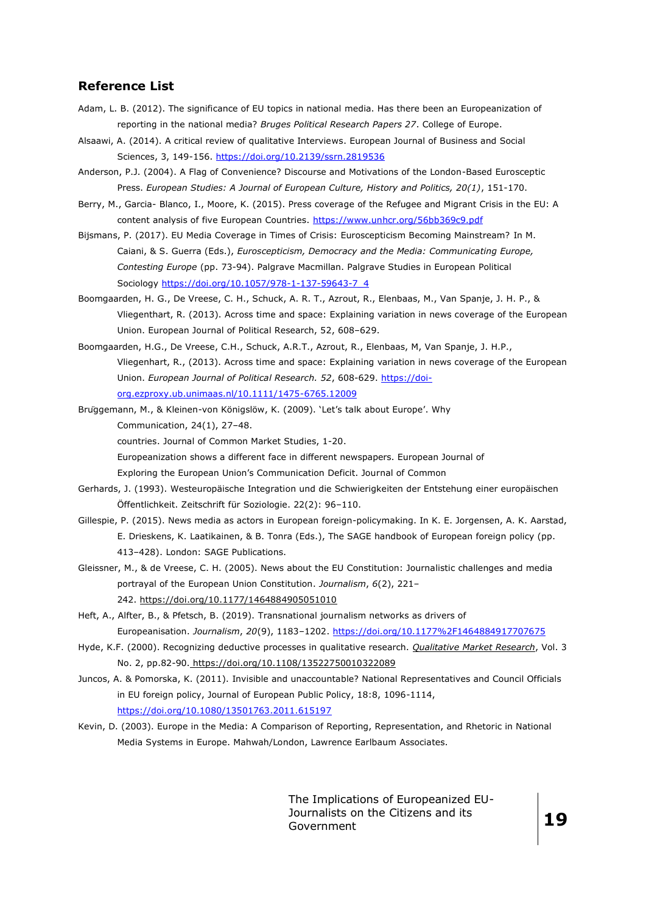## **Reference List**

- Adam, L. B. (2012). The significance of EU topics in national media. Has there been an Europeanization of reporting in the national media? *Bruges Political Research Papers 27*. College of Europe.
- Alsaawi, A. (2014). A critical review of qualitative Interviews. European Journal of Business and Social Sciences, 3, 149-156.<https://doi.org/10.2139/ssrn.2819536>
- Anderson, P.J. (2004). A Flag of Convenience? Discourse and Motivations of the London-Based Eurosceptic Press. *European Studies: A Journal of European Culture, History and Politics, 20(1)*, 151-170.
- Berry, M., Garcia- Blanco, I., Moore, K. (2015). Press coverage of the Refugee and Migrant Crisis in the EU: A content analysis of five European Countries.<https://www.unhcr.org/56bb369c9.pdf>
- Bijsmans, P. (2017). EU Media Coverage in Times of Crisis: Euroscepticism Becoming Mainstream? In M. Caiani, & S. Guerra (Eds.), *Euroscepticism, Democracy and the Media: Communicating Europe, Contesting Europe* (pp. 73-94). Palgrave Macmillan. Palgrave Studies in European Political Sociology [https://doi.org/10.1057/978-1-137-59643-7\\_4](https://doi.org/10.1057/978-1-137-59643-7_4)
- Boomgaarden, H. G., De Vreese, C. H., Schuck, A. R. T., Azrout, R., Elenbaas, M., Van Spanje, J. H. P., & Vliegenthart, R. (2013). Across time and space: Explaining variation in news coverage of the European Union. European Journal of Political Research, 52, 608–629.
- Boomgaarden, H.G., De Vreese, C.H., Schuck, A.R.T., Azrout, R., Elenbaas, M, Van Spanje, J. H.P., Vliegenhart, R., (2013). Across time and space: Explaining variation in news coverage of the European Union. *European Journal of Political Research. 52*, 608-629. [https://doi](https://doi-org.ezproxy.ub.unimaas.nl/10.1111/1475-6765.12009)[org.ezproxy.ub.unimaas.nl/10.1111/1475-6765.12009](https://doi-org.ezproxy.ub.unimaas.nl/10.1111/1475-6765.12009)
- Brüggemann, M., & Kleinen-von Königslöw, K. (2009). 'Let's talk about Europe'. Why Communication, 24(1), 27–48.

countries. Journal of Common Market Studies, 1-20.

Europeanization shows a different face in different newspapers. European Journal of

Exploring the European Union's Communication Deficit. Journal of Common

- Gerhards, J. (1993). Westeuropäische Integration und die Schwierigkeiten der Entstehung einer europäischen Öffentlichkeit. Zeitschrift für Soziologie. 22(2): 96–110.
- Gillespie, P. (2015). News media as actors in European foreign-policymaking. In K. E. Jorgensen, A. K. Aarstad, E. Drieskens, K. Laatikainen, & B. Tonra (Eds.), The SAGE handbook of European foreign policy (pp. 413–428). London: SAGE Publications.
- Gleissner, M., & de Vreese, C. H. (2005). News about the EU Constitution: Journalistic challenges and media portrayal of the European Union Constitution. *Journalism*, *6*(2), 221– 242. <https://doi.org/10.1177/1464884905051010>
- Heft, A., Alfter, B., & Pfetsch, B. (2019). Transnational journalism networks as drivers of Europeanisation. *Journalism*, *20*(9), 1183–1202.<https://doi.org/10.1177%2F1464884917707675>
- Hyde, K.F. (2000). Recognizing deductive processes in qualitative research. *[Qualitative Market Research](https://www.emerald.com/insight/publication/issn/1352-2752)*, Vol. 3 No. 2, pp.82-90. <https://doi.org/10.1108/13522750010322089>
- Juncos, A. & Pomorska, K. (2011). Invisible and unaccountable? National Representatives and Council Officials in EU foreign policy, Journal of European Public Policy, 18:8, 1096-1114, <https://doi.org/10.1080/13501763.2011.615197>
- Kevin, D. (2003). Europe in the Media: A Comparison of Reporting, Representation, and Rhetoric in National Media Systems in Europe. Mahwah/London, Lawrence Earlbaum Associates.